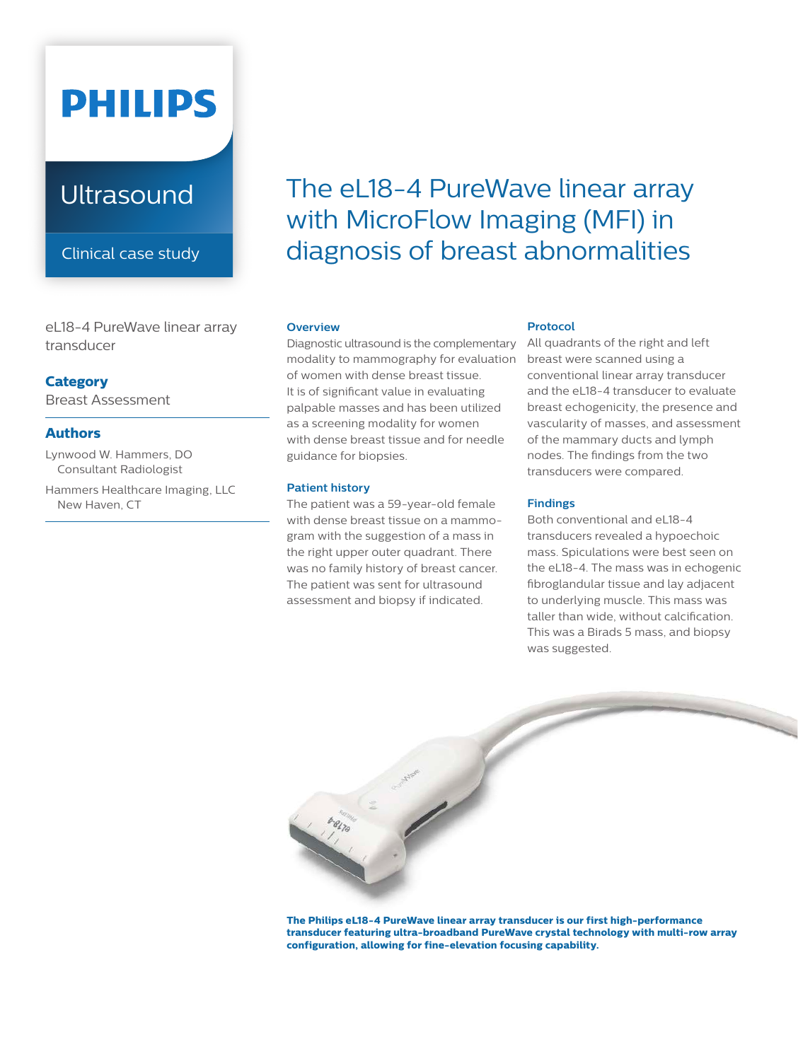# **PHILIPS**

## **Ultrasound**

Clinical case study

eL18-4 PureWave linear array transducer

#### **Category**

Breast Assessment

#### **Authors**

Lynwood W. Hammers, DO Consultant Radiologist

Hammers Healthcare Imaging, LLC New Haven, CT

# The eL18-4 PureWave linear array with MicroFlow Imaging (MFI) in diagnosis of breast abnormalities

#### **Overview**

Diagnostic ultrasound is the complementary modality to mammography for evaluation of women with dense breast tissue. It is of significant value in evaluating palpable masses and has been utilized as a screening modality for women with dense breast tissue and for needle guidance for biopsies.

#### **Patient history**

The patient was a 59-year-old female with dense breast tissue on a mammogram with the suggestion of a mass in the right upper outer quadrant. There was no family history of breast cancer. The patient was sent for ultrasound assessment and biopsy if indicated.

#### **Protocol**

All quadrants of the right and left breast were scanned using a conventional linear array transducer and the eL18-4 transducer to evaluate breast echogenicity, the presence and vascularity of masses, and assessment of the mammary ducts and lymph nodes. The findings from the two transducers were compared.

#### **Findings**

Both conventional and eL18-4 transducers revealed a hypoechoic mass. Spiculations were best seen on the eL18-4. The mass was in echogenic fibroglandular tissue and lay adjacent to underlying muscle. This mass was taller than wide, without calcification. This was a Birads 5 mass, and biopsy was suggested.



**The Philips eL18-4 PureWave linear array transducer is our first high-performance transducer featuring ultra-broadband PureWave crystal technology with multi-row array configuration, allowing for fine-elevation focusing capability.**